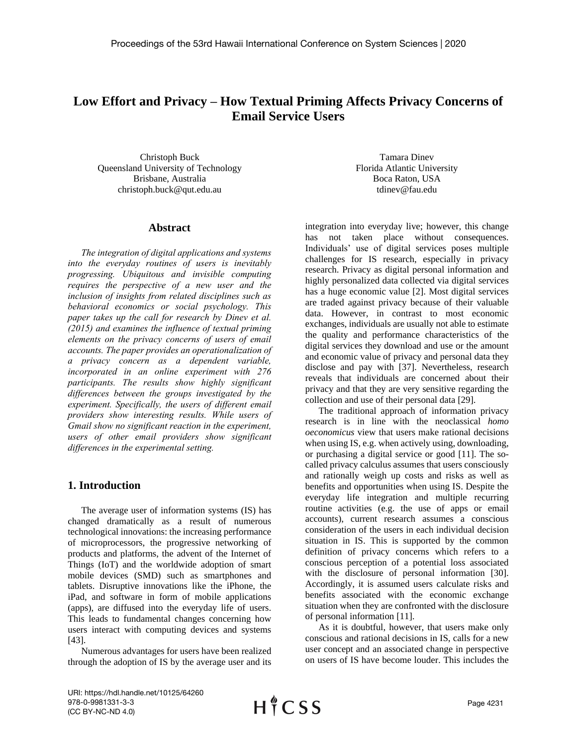# **Low Effort and Privacy – How Textual Priming Affects Privacy Concerns of Email Service Users**

Christoph Buck Queensland University of Technology Brisbane, Australia christoph.buck@qut.edu.au

# **Abstract**

*The integration of digital applications and systems into the everyday routines of users is inevitably progressing. Ubiquitous and invisible computing requires the perspective of a new user and the inclusion of insights from related disciplines such as behavioral economics or social psychology. This paper takes up the call for research by Dinev et al. (2015) and examines the influence of textual priming elements on the privacy concerns of users of email accounts. The paper provides an operationalization of a privacy concern as a dependent variable, incorporated in an online experiment with 276 participants. The results show highly significant differences between the groups investigated by the experiment. Specifically, the users of different email providers show interesting results. While users of Gmail show no significant reaction in the experiment, users of other email providers show significant differences in the experimental setting.*

# **1. Introduction**

The average user of information systems (IS) has changed dramatically as a result of numerous technological innovations: the increasing performance of microprocessors, the progressive networking of products and platforms, the advent of the Internet of Things (IoT) and the worldwide adoption of smart mobile devices (SMD) such as smartphones and tablets. Disruptive innovations like the iPhone, the iPad, and software in form of mobile applications (apps), are diffused into the everyday life of users. This leads to fundamental changes concerning how users interact with computing devices and systems [43].

Numerous advantages for users have been realized through the adoption of IS by the average user and its

Tamara Dinev Florida Atlantic University Boca Raton, USA tdinev@fau.edu

integration into everyday live; however, this change has not taken place without consequences. Individuals' use of digital services poses multiple challenges for IS research, especially in privacy research. Privacy as digital personal information and highly personalized data collected via digital services has a huge economic value [2]. Most digital services are traded against privacy because of their valuable data. However, in contrast to most economic exchanges, individuals are usually not able to estimate the quality and performance characteristics of the digital services they download and use or the amount and economic value of privacy and personal data they disclose and pay with [37]. Nevertheless, research reveals that individuals are concerned about their privacy and that they are very sensitive regarding the collection and use of their personal data [29].

The traditional approach of information privacy research is in line with the neoclassical *homo oeconomicus* view that users make rational decisions when using IS, e.g. when actively using, downloading, or purchasing a digital service or good [11]. The socalled privacy calculus assumes that users consciously and rationally weigh up costs and risks as well as benefits and opportunities when using IS. Despite the everyday life integration and multiple recurring routine activities (e.g. the use of apps or email accounts), current research assumes a conscious consideration of the users in each individual decision situation in IS. This is supported by the common definition of privacy concerns which refers to a conscious perception of a potential loss associated with the disclosure of personal information [30]. Accordingly, it is assumed users calculate risks and benefits associated with the economic exchange situation when they are confronted with the disclosure of personal information [11].

As it is doubtful, however, that users make only conscious and rational decisions in IS, calls for a new user concept and an associated change in perspective on users of IS have become louder. This includes the

URI: https://hdl.handle.net/10125/64260 978-0-9981331-3-3 (CC BY-NC-ND 4.0)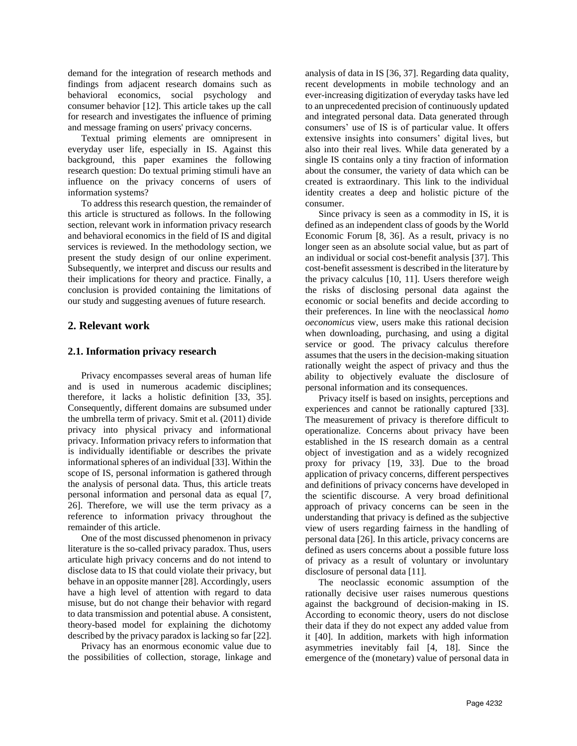demand for the integration of research methods and findings from adjacent research domains such as behavioral economics, social psychology and consumer behavior [12]. This article takes up the call for research and investigates the influence of priming and message framing on users' privacy concerns.

Textual priming elements are omnipresent in everyday user life, especially in IS. Against this background, this paper examines the following research question: Do textual priming stimuli have an influence on the privacy concerns of users of information systems?

To address this research question, the remainder of this article is structured as follows. In the following section, relevant work in information privacy research and behavioral economics in the field of IS and digital services is reviewed. In the methodology section, we present the study design of our online experiment. Subsequently, we interpret and discuss our results and their implications for theory and practice. Finally, a conclusion is provided containing the limitations of our study and suggesting avenues of future research.

# **2. Relevant work**

#### **2.1. Information privacy research**

Privacy encompasses several areas of human life and is used in numerous academic disciplines; therefore, it lacks a holistic definition [33, 35]. Consequently, different domains are subsumed under the umbrella term of privacy. Smit et al. (2011) divide privacy into physical privacy and informational privacy. Information privacy refers to information that is individually identifiable or describes the private informational spheres of an individual [33]. Within the scope of IS, personal information is gathered through the analysis of personal data. Thus, this article treats personal information and personal data as equal [7, 26]. Therefore, we will use the term privacy as a reference to information privacy throughout the remainder of this article.

One of the most discussed phenomenon in privacy literature is the so-called privacy paradox. Thus, users articulate high privacy concerns and do not intend to disclose data to IS that could violate their privacy, but behave in an opposite manner [28]. Accordingly, users have a high level of attention with regard to data misuse, but do not change their behavior with regard to data transmission and potential abuse. A consistent, theory-based model for explaining the dichotomy described by the privacy paradox is lacking so far [22].

Privacy has an enormous economic value due to the possibilities of collection, storage, linkage and

analysis of data in IS [36, 37]. Regarding data quality, recent developments in mobile technology and an ever-increasing digitization of everyday tasks have led to an unprecedented precision of continuously updated and integrated personal data. Data generated through consumers' use of IS is of particular value. It offers extensive insights into consumers' digital lives, but also into their real lives. While data generated by a single IS contains only a tiny fraction of information about the consumer, the variety of data which can be created is extraordinary. This link to the individual identity creates a deep and holistic picture of the consumer.

Since privacy is seen as a commodity in IS, it is defined as an independent class of goods by the World Economic Forum [8, 36]. As a result, privacy is no longer seen as an absolute social value, but as part of an individual or social cost-benefit analysis [37]. This cost-benefit assessment is described in the literature by the privacy calculus [10, 11]. Users therefore weigh the risks of disclosing personal data against the economic or social benefits and decide according to their preferences. In line with the neoclassical *homo oeconomicus* view, users make this rational decision when downloading, purchasing, and using a digital service or good. The privacy calculus therefore assumes that the users in the decision-making situation rationally weight the aspect of privacy and thus the ability to objectively evaluate the disclosure of personal information and its consequences.

Privacy itself is based on insights, perceptions and experiences and cannot be rationally captured [33]. The measurement of privacy is therefore difficult to operationalize. Concerns about privacy have been established in the IS research domain as a central object of investigation and as a widely recognized proxy for privacy [19, 33]. Due to the broad application of privacy concerns, different perspectives and definitions of privacy concerns have developed in the scientific discourse. A very broad definitional approach of privacy concerns can be seen in the understanding that privacy is defined as the subjective view of users regarding fairness in the handling of personal data [26]. In this article, privacy concerns are defined as users concerns about a possible future loss of privacy as a result of voluntary or involuntary disclosure of personal data [11].

The neoclassic economic assumption of the rationally decisive user raises numerous questions against the background of decision-making in IS. According to economic theory, users do not disclose their data if they do not expect any added value from it [40]. In addition, markets with high information asymmetries inevitably fail [4, 18]. Since the emergence of the (monetary) value of personal data in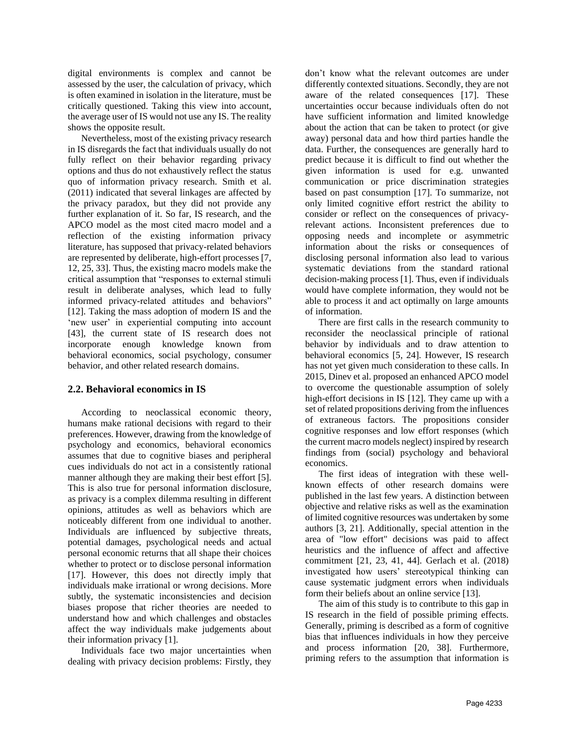digital environments is complex and cannot be assessed by the user, the calculation of privacy, which is often examined in isolation in the literature, must be critically questioned. Taking this view into account, the average user of IS would not use any IS. The reality shows the opposite result.

Nevertheless, most of the existing privacy research in IS disregards the fact that individuals usually do not fully reflect on their behavior regarding privacy options and thus do not exhaustively reflect the status quo of information privacy research. Smith et al. (2011) indicated that several linkages are affected by the privacy paradox, but they did not provide any further explanation of it. So far, IS research, and the APCO model as the most cited macro model and a reflection of the existing information privacy literature, has supposed that privacy-related behaviors are represented by deliberate, high-effort processes [7, 12, 25, 33]. Thus, the existing macro models make the critical assumption that "responses to external stimuli result in deliberate analyses, which lead to fully informed privacy-related attitudes and behaviors" [12]. Taking the mass adoption of modern IS and the 'new user' in experiential computing into account [43], the current state of IS research does not incorporate enough knowledge known from behavioral economics, social psychology, consumer behavior, and other related research domains.

# **2.2. Behavioral economics in IS**

According to neoclassical economic theory, humans make rational decisions with regard to their preferences. However, drawing from the knowledge of psychology and economics, behavioral economics assumes that due to cognitive biases and peripheral cues individuals do not act in a consistently rational manner although they are making their best effort [5]. This is also true for personal information disclosure, as privacy is a complex dilemma resulting in different opinions, attitudes as well as behaviors which are noticeably different from one individual to another. Individuals are influenced by subjective threats, potential damages, psychological needs and actual personal economic returns that all shape their choices whether to protect or to disclose personal information [17]. However, this does not directly imply that individuals make irrational or wrong decisions. More subtly, the systematic inconsistencies and decision biases propose that richer theories are needed to understand how and which challenges and obstacles affect the way individuals make judgements about their information privacy [1].

Individuals face two major uncertainties when dealing with privacy decision problems: Firstly, they don't know what the relevant outcomes are under differently contexted situations. Secondly, they are not aware of the related consequences [17]. These uncertainties occur because individuals often do not have sufficient information and limited knowledge about the action that can be taken to protect (or give away) personal data and how third parties handle the data. Further, the consequences are generally hard to predict because it is difficult to find out whether the given information is used for e.g. unwanted communication or price discrimination strategies based on past consumption [17]. To summarize, not only limited cognitive effort restrict the ability to consider or reflect on the consequences of privacyrelevant actions. Inconsistent preferences due to opposing needs and incomplete or asymmetric information about the risks or consequences of disclosing personal information also lead to various systematic deviations from the standard rational decision-making process [1]. Thus, even if individuals would have complete information, they would not be able to process it and act optimally on large amounts of information.

There are first calls in the research community to reconsider the neoclassical principle of rational behavior by individuals and to draw attention to behavioral economics [5, 24]. However, IS research has not yet given much consideration to these calls. In 2015, Dinev et al. proposed an enhanced APCO model to overcome the questionable assumption of solely high-effort decisions in IS [12]. They came up with a set of related propositions deriving from the influences of extraneous factors. The propositions consider cognitive responses and low effort responses (which the current macro models neglect) inspired by research findings from (social) psychology and behavioral economics.

The first ideas of integration with these wellknown effects of other research domains were published in the last few years. A distinction between objective and relative risks as well as the examination of limited cognitive resources was undertaken by some authors [3, 21]. Additionally, special attention in the area of "low effort" decisions was paid to affect heuristics and the influence of affect and affective commitment [21, 23, 41, 44]. Gerlach et al. (2018) investigated how users' stereotypical thinking can cause systematic judgment errors when individuals form their beliefs about an online service [13].

The aim of this study is to contribute to this gap in IS research in the field of possible priming effects. Generally, priming is described as a form of cognitive bias that influences individuals in how they perceive and process information [20, 38]. Furthermore, priming refers to the assumption that information is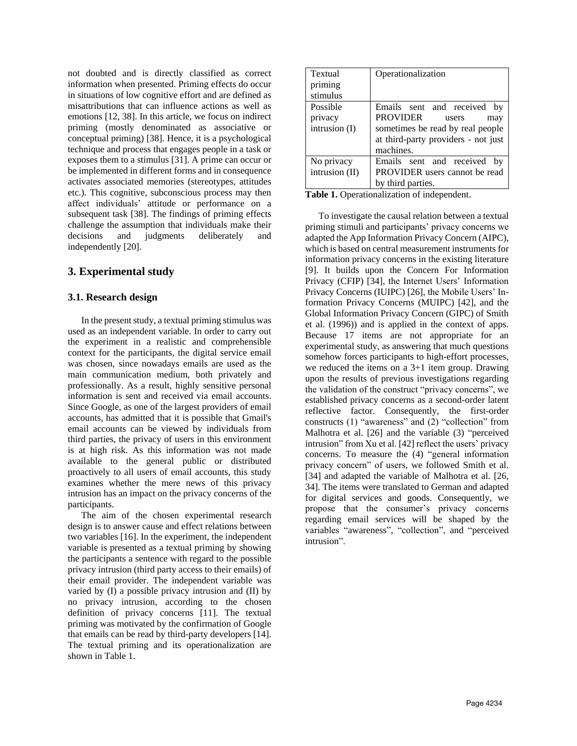not doubted and is directly classified as correct information when presented. Priming effects do occur in situations of low cognitive effort and are defined as misattributions that can influence actions as well as emotions [12, 38]. In this article, we focus on indirect priming (mostly denominated as associative or conceptual priming) [38]. Hence, it is a psychological technique and process that engages people in a task or exposes them to a stimulus [31]. A prime can occur or be implemented in different forms and in consequence activates associated memories (stereotypes, attitudes etc.). This cognitive, subconscious process may then affect individuals' attitude or performance on a subsequent task [38]. The findings of priming effects challenge the assumption that individuals make their decisions and judgments deliberately and independently [20].

# **3. Experimental study**

# **3.1. Research design**

In the present study, a textual priming stimulus was used as an independent variable. In order to carry out the experiment in a realistic and comprehensible context for the participants, the digital service email was chosen, since nowadays emails are used as the main communication medium, both privately and professionally. As a result, highly sensitive personal information is sent and received via email accounts. Since Google, as one of the largest providers of email accounts, has admitted that it is possible that Gmail's email accounts can be viewed by individuals from third parties, the privacy of users in this environment is at high risk. As this information was not made available to the general public or distributed proactively to all users of email accounts, this study examines whether the mere news of this privacy intrusion has an impact on the privacy concerns of the participants.

The aim of the chosen experimental research design is to answer cause and effect relations between two variables [16]. In the experiment, the independent variable is presented as a textual priming by showing the participants a sentence with regard to the possible privacy intrusion (third party access to their emails) of their email provider. The independent variable was varied by (I) a possible privacy intrusion and (II) by no privacy intrusion, according to the chosen definition of privacy concerns [11]. The textual priming was motivated by the confirmation of Google that emails can be read by third-party developers [14]. The textual priming and its operationalization are shown in Table 1.

| Textual        | Operationalization                                             |  |  |  |  |  |  |
|----------------|----------------------------------------------------------------|--|--|--|--|--|--|
| priming        |                                                                |  |  |  |  |  |  |
| stimulus       |                                                                |  |  |  |  |  |  |
| Possible       | Emails sent and received<br>by                                 |  |  |  |  |  |  |
| privacy        | PROVIDER<br>users<br>may                                       |  |  |  |  |  |  |
| intrusion (I)  | sometimes be read by real people                               |  |  |  |  |  |  |
|                | at third-party providers - not just                            |  |  |  |  |  |  |
|                | machines.                                                      |  |  |  |  |  |  |
| No privacy     | Emails sent and received<br>by                                 |  |  |  |  |  |  |
| intrusion (II) | PROVIDER users cannot be read                                  |  |  |  |  |  |  |
|                | by third parties.                                              |  |  |  |  |  |  |
|                | $\text{Table 1:}$ $\text{O}$ continualization of indicated and |  |  |  |  |  |  |

**Table 1.** Operationalization of independent.

To investigate the causal relation between a textual priming stimuli and participants' privacy concerns we adapted the App Information Privacy Concern (AIPC), which is based on central measurement instruments for information privacy concerns in the existing literature [9]. It builds upon the Concern For Information Privacy (CFIP) [34], the Internet Users' Information Privacy Concerns (IUIPC) [26], the Mobile Users' Information Privacy Concerns (MUIPC) [42], and the Global Information Privacy Concern (GIPC) of Smith et al. (1996)) and is applied in the context of apps. Because 17 items are not appropriate for an experimental study, as answering that much questions somehow forces participants to high-effort processes, we reduced the items on a 3+1 item group. Drawing upon the results of previous investigations regarding the validation of the construct "privacy concerns", we established privacy concerns as a second-order latent reflective factor. Consequently, the first-order constructs (1) "awareness" and (2) "collection" from Malhotra et al. [26] and the variable (3) "perceived intrusion" from Xu et al. [42] reflect the users' privacy concerns. To measure the (4) "general information privacy concern" of users, we followed Smith et al. [34] and adapted the variable of Malhotra et al. [26, 34]. The items were translated to German and adapted for digital services and goods. Consequently, we propose that the consumer's privacy concerns regarding email services will be shaped by the variables "awareness", "collection", and "perceived intrusion".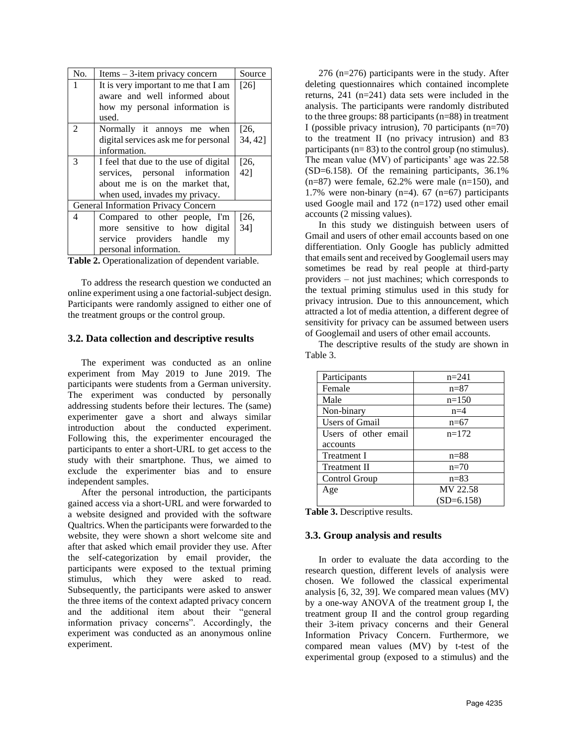| No.                                 | $Items - 3-item$ privacy concern      | Source  |
|-------------------------------------|---------------------------------------|---------|
| 1                                   | It is very important to me that I am  | $[26]$  |
|                                     | aware and well informed about         |         |
|                                     | how my personal information is        |         |
|                                     | used.                                 |         |
| $\mathfrak{D}$                      | Normally it annoys me when            | [26,    |
|                                     | digital services ask me for personal  | 34, 42] |
|                                     | information.                          |         |
| 3                                   | I feel that due to the use of digital | [26,    |
|                                     | services, personal information        | 42]     |
|                                     | about me is on the market that,       |         |
|                                     | when used, invades my privacy.        |         |
| General Information Privacy Concern |                                       |         |
| 4                                   | Compared to other people, I'm         | [26,    |
|                                     | more sensitive to how digital         | 34]     |
|                                     | service providers handle<br>my        |         |
|                                     | personal information.                 |         |

| Table 2. Operationalization of dependent variable. |  |
|----------------------------------------------------|--|
|----------------------------------------------------|--|

To address the research question we conducted an online experiment using a one factorial-subject design. Participants were randomly assigned to either one of the treatment groups or the control group.

#### **3.2. Data collection and descriptive results**

The experiment was conducted as an online experiment from May 2019 to June 2019. The participants were students from a German university. The experiment was conducted by personally addressing students before their lectures. The (same) experimenter gave a short and always similar introduction about the conducted experiment. Following this, the experimenter encouraged the participants to enter a short-URL to get access to the study with their smartphone. Thus, we aimed to exclude the experimenter bias and to ensure independent samples.

After the personal introduction, the participants gained access via a short-URL and were forwarded to a website designed and provided with the software Qualtrics. When the participants were forwarded to the website, they were shown a short welcome site and after that asked which email provider they use. After the self-categorization by email provider, the participants were exposed to the textual priming stimulus, which they were asked to read. Subsequently, the participants were asked to answer the three items of the context adapted privacy concern and the additional item about their "general information privacy concerns". Accordingly, the experiment was conducted as an anonymous online experiment.

276 (n=276) participants were in the study. After deleting questionnaires which contained incomplete returns, 241 (n=241) data sets were included in the analysis. The participants were randomly distributed to the three groups: 88 participants (n=88) in treatment I (possible privacy intrusion), 70 participants (n=70) to the treatment II (no privacy intrusion) and 83 participants (n= 83) to the control group (no stimulus). The mean value (MV) of participants' age was 22.58 (SD=6.158). Of the remaining participants, 36.1%  $(n=87)$  were female, 62.2% were male  $(n=150)$ , and 1.7% were non-binary  $(n=4)$ . 67  $(n=67)$  participants used Google mail and  $172$  (n=172) used other email accounts (2 missing values).

In this study we distinguish between users of Gmail and users of other email accounts based on one differentiation. Only Google has publicly admitted that emails sent and received by Googlemail users may sometimes be read by real people at third-party providers – not just machines; which corresponds to the textual priming stimulus used in this study for privacy intrusion. Due to this announcement, which attracted a lot of media attention, a different degree of sensitivity for privacy can be assumed between users of Googlemail and users of other email accounts.

The descriptive results of the study are shown in Table 3.

| Participants          | $n=241$      |
|-----------------------|--------------|
| Female                | $n = 87$     |
| Male                  | $n=150$      |
| Non-binary            | $n=4$        |
| <b>Users of Gmail</b> | $n=67$       |
| Users of other email  | $n=172$      |
| accounts              |              |
| <b>Treatment I</b>    | $n = 88$     |
| <b>Treatment II</b>   | $n=70$       |
| Control Group         | $n = 83$     |
| Age                   | MV 22.58     |
|                       | $(SD=6.158)$ |

**Table 3.** Descriptive results.

#### **3.3. Group analysis and results**

In order to evaluate the data according to the research question, different levels of analysis were chosen. We followed the classical experimental analysis [6, 32, 39]. We compared mean values (MV) by a one-way ANOVA of the treatment group I, the treatment group II and the control group regarding their 3-item privacy concerns and their General Information Privacy Concern. Furthermore, we compared mean values (MV) by t-test of the experimental group (exposed to a stimulus) and the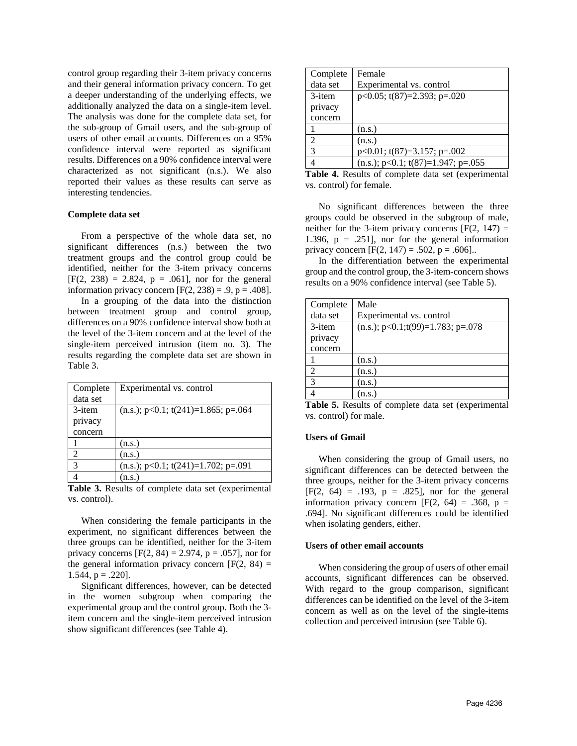control group regarding their 3-item privacy concerns and their general information privacy concern. To get a deeper understanding of the underlying effects, we additionally analyzed the data on a single-item level. The analysis was done for the complete data set, for the sub-group of Gmail users, and the sub-group of users of other email accounts. Differences on a 95% confidence interval were reported as significant results. Differences on a 90% confidence interval were characterized as not significant (n.s.). We also reported their values as these results can serve as interesting tendencies.

#### **Complete data set**

From a perspective of the whole data set, no significant differences (n.s.) between the two treatment groups and the control group could be identified, neither for the 3-item privacy concerns  $[F(2, 238) = 2.824, p = .061]$ , nor for the general information privacy concern  $[F(2, 238) = .9, p = .408]$ .

In a grouping of the data into the distinction between treatment group and control group, differences on a 90% confidence interval show both at the level of the 3-item concern and at the level of the single-item perceived intrusion (item no. 3). The results regarding the complete data set are shown in Table 3.

| Complete                    | Experimental vs. control                       |
|-----------------------------|------------------------------------------------|
| data set                    |                                                |
| 3-item                      | $(n.s.)$ ; $p<0.1$ ; $t(241)=1.865$ ; $p=.064$ |
| privacy                     |                                                |
| concern                     |                                                |
|                             | (n.s.)                                         |
| $\mathcal{D}_{\mathcal{L}}$ | (n.s.)                                         |
| 3                           | $(n.s.)$ ; $p<0.1$ ; $t(241)=1.702$ ; $p=.091$ |
|                             | (n.s.)                                         |

**Table 3.** Results of complete data set (experimental vs. control).

When considering the female participants in the experiment, no significant differences between the three groups can be identified, neither for the 3-item privacy concerns  $[F(2, 84) = 2.974, p = .057]$ , nor for the general information privacy concern  $[F(2, 84) =$ 1.544,  $p = .220$ ].

Significant differences, however, can be detected in the women subgroup when comparing the experimental group and the control group. Both the 3 item concern and the single-item perceived intrusion show significant differences (see Table 4).

| Complete | Female                                        |
|----------|-----------------------------------------------|
| data set | Experimental vs. control                      |
| 3-item   | $p<0.05$ ; t(87)=2.393; $p=.020$              |
| privacy  |                                               |
| concern  |                                               |
|          | (n.s.)                                        |
| 2        | (n.s.)                                        |
| 3        | $p<0.01$ ; t(87)=3.157; p=.002                |
|          | $(n.s.)$ ; $p<0.1$ ; $t(87)=1.947$ ; $p=.055$ |

**Table 4.** Results of complete data set (experimental vs. control) for female.

No significant differences between the three groups could be observed in the subgroup of male, neither for the 3-item privacy concerns  $[F(2, 147) =$ 1.396,  $p = .251$ , nor for the general information privacy concern  $[F(2, 147) = .502, p = .606]$ .

In the differentiation between the experimental group and the control group, the 3-item-concern shows results on a 90% confidence interval (see Table 5).

| Complete       | Male                                       |
|----------------|--------------------------------------------|
| data set       | Experimental vs. control                   |
| 3-item         | $(n.s.)$ ; $p<0.1$ ;t(99)=1.783; $p=0.078$ |
| privacy        |                                            |
| concern        |                                            |
|                | (n.s.)                                     |
| $\overline{2}$ | (n.s.)                                     |
| $\overline{3}$ | (n.s.)                                     |
|                | n.s.                                       |

**Table 5.** Results of complete data set (experimental vs. control) for male.

#### **Users of Gmail**

When considering the group of Gmail users, no significant differences can be detected between the three groups, neither for the 3-item privacy concerns  $[F(2, 64) = .193, p = .825]$ , nor for the general information privacy concern  $[F(2, 64) = .368, p =$ .694]. No significant differences could be identified when isolating genders, either.

#### **Users of other email accounts**

When considering the group of users of other email accounts, significant differences can be observed. With regard to the group comparison, significant differences can be identified on the level of the 3-item concern as well as on the level of the single-items collection and perceived intrusion (see Table 6).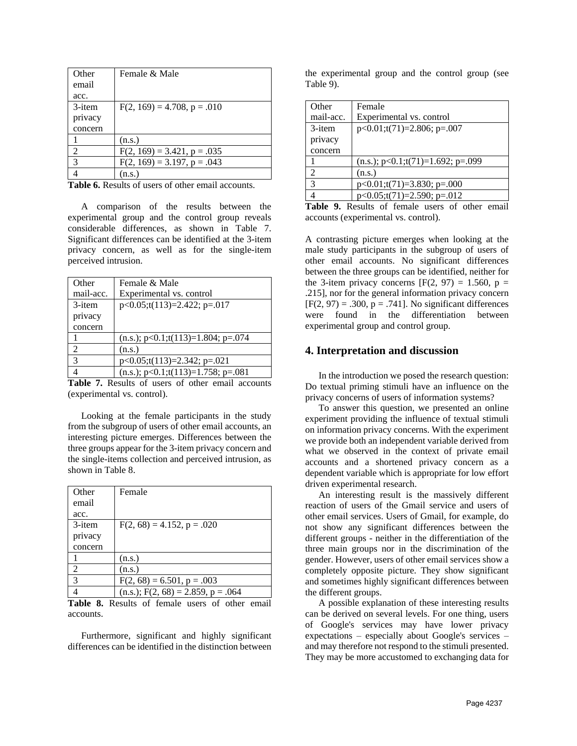| Other          | Female & Male                    |
|----------------|----------------------------------|
| email          |                                  |
| acc.           |                                  |
| 3-item         | $F(2, 169) = 4.708$ , p = .010   |
| privacy        |                                  |
| concern        |                                  |
|                | (n.s.)                           |
| $\mathfrak{D}$ | $F(2, 169) = 3.421$ , $p = .035$ |
| 3              | $F(2, 169) = 3.197$ , $p = .043$ |
|                | (n.s.)                           |

Table **6.** Results of users of other email accounts.

A comparison of the results between the experimental group and the control group reveals considerable differences, as shown in Table 7. Significant differences can be identified at the 3-item privacy concern, as well as for the single-item perceived intrusion.

| Other         | Female & Male                                  |
|---------------|------------------------------------------------|
| mail-acc.     | Experimental vs. control                       |
| 3-item        | $p<0.05$ ;t(113)=2.422; p=.017                 |
| privacy       |                                                |
| concern       |                                                |
|               | $(n.s.)$ ; $p<0.1$ ;t(113)=1.804; $p=0.074$    |
| $\mathcal{D}$ | (n.s.)                                         |
| 3             | $p<0.05; t(113)=2.342; p=.021$                 |
|               | $(n.s.)$ ; $p<0.1$ ;t $(113)=1.758$ ; $p=.081$ |

Table 7. Results of users of other email accounts (experimental vs. control).

Looking at the female participants in the study from the subgroup of users of other email accounts, an interesting picture emerges. Differences between the three groups appear for the 3-item privacy concern and the single-items collection and perceived intrusion, as shown in Table 8.

| Other          | Female                                |
|----------------|---------------------------------------|
| email          |                                       |
| acc.           |                                       |
| 3-item         | $F(2, 68) = 4.152$ , $p = .020$       |
| privacy        |                                       |
| concern        |                                       |
|                | (n.s.)                                |
| $\mathfrak{D}$ | (n.s.)                                |
| 3              | $F(2, 68) = 6.501$ , $p = .003$       |
|                | $(n.s.)$ ; F(2, 68) = 2.859, p = .064 |

**Table 8.** Results of female users of other email accounts.

Furthermore, significant and highly significant differences can be identified in the distinction between

the experimental group and the control group (see Table 9).

| Other     | Female                               |
|-----------|--------------------------------------|
| mail-acc. | Experimental vs. control             |
| 3-item    | $p<0.01; t(71)=2.806; p=.007$        |
| privacy   |                                      |
| concern   |                                      |
|           | $(n.s.); p<0.1; t(71)=1.692; p=.099$ |
| 2         | (n.s.)                               |
| 3         | $p<0.01; t(71)=3.830; p=.000$        |
|           | $p<0.05; t(71)=2.590; p=.012$        |

|  | <b>Table 9.</b> Results of female users of other email |  |  |  |
|--|--------------------------------------------------------|--|--|--|
|  | accounts (experimental vs. control).                   |  |  |  |

A contrasting picture emerges when looking at the male study participants in the subgroup of users of other email accounts. No significant differences between the three groups can be identified, neither for the 3-item privacy concerns  $[F(2, 97) = 1.560, p =$ .215], nor for the general information privacy concern  $[F(2, 97) = .300, p = .741]$ . No significant differences were found in the differentiation between experimental group and control group.

# **4. Interpretation and discussion**

In the introduction we posed the research question: Do textual priming stimuli have an influence on the privacy concerns of users of information systems?

To answer this question, we presented an online experiment providing the influence of textual stimuli on information privacy concerns. With the experiment we provide both an independent variable derived from what we observed in the context of private email accounts and a shortened privacy concern as a dependent variable which is appropriate for low effort driven experimental research.

An interesting result is the massively different reaction of users of the Gmail service and users of other email services. Users of Gmail, for example, do not show any significant differences between the different groups - neither in the differentiation of the three main groups nor in the discrimination of the gender. However, users of other email services show a completely opposite picture. They show significant and sometimes highly significant differences between the different groups.

A possible explanation of these interesting results can be derived on several levels. For one thing, users of Google's services may have lower privacy expectations – especially about Google's services – and may therefore not respond to the stimuli presented. They may be more accustomed to exchanging data for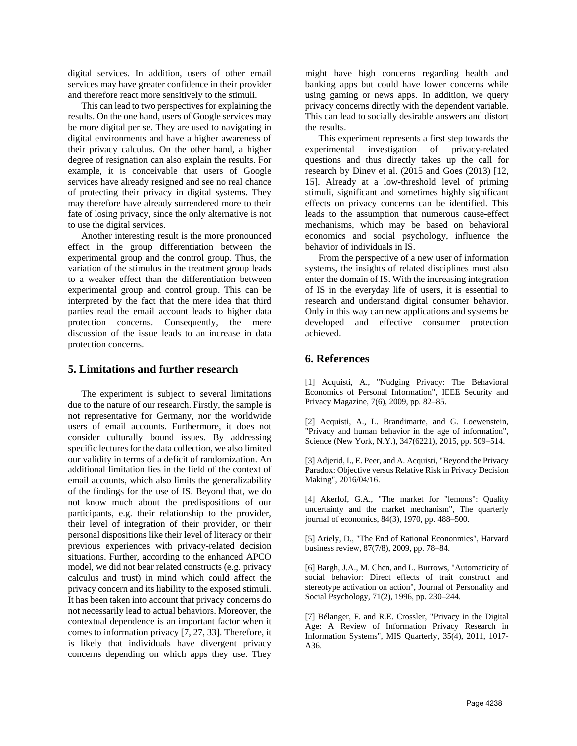digital services. In addition, users of other email services may have greater confidence in their provider and therefore react more sensitively to the stimuli.

This can lead to two perspectives for explaining the results. On the one hand, users of Google services may be more digital per se. They are used to navigating in digital environments and have a higher awareness of their privacy calculus. On the other hand, a higher degree of resignation can also explain the results. For example, it is conceivable that users of Google services have already resigned and see no real chance of protecting their privacy in digital systems. They may therefore have already surrendered more to their fate of losing privacy, since the only alternative is not to use the digital services.

Another interesting result is the more pronounced effect in the group differentiation between the experimental group and the control group. Thus, the variation of the stimulus in the treatment group leads to a weaker effect than the differentiation between experimental group and control group. This can be interpreted by the fact that the mere idea that third parties read the email account leads to higher data protection concerns. Consequently, the mere discussion of the issue leads to an increase in data protection concerns.

# **5. Limitations and further research**

The experiment is subject to several limitations due to the nature of our research. Firstly, the sample is not representative for Germany, nor the worldwide users of email accounts. Furthermore, it does not consider culturally bound issues. By addressing specific lectures for the data collection, we also limited our validity in terms of a deficit of randomization. An additional limitation lies in the field of the context of email accounts, which also limits the generalizability of the findings for the use of IS. Beyond that, we do not know much about the predispositions of our participants, e.g. their relationship to the provider, their level of integration of their provider, or their personal dispositions like their level of literacy or their previous experiences with privacy-related decision situations. Further, according to the enhanced APCO model, we did not bear related constructs (e.g. privacy calculus and trust) in mind which could affect the privacy concern and its liability to the exposed stimuli. It has been taken into account that privacy concerns do not necessarily lead to actual behaviors. Moreover, the contextual dependence is an important factor when it comes to information privacy [7, 27, 33]. Therefore, it is likely that individuals have divergent privacy concerns depending on which apps they use. They

might have high concerns regarding health and banking apps but could have lower concerns while using gaming or news apps. In addition, we query privacy concerns directly with the dependent variable. This can lead to socially desirable answers and distort the results.

This experiment represents a first step towards the experimental investigation of privacy-related questions and thus directly takes up the call for research by Dinev et al. (2015 and Goes (2013) [12, 15]. Already at a low-threshold level of priming stimuli, significant and sometimes highly significant effects on privacy concerns can be identified. This leads to the assumption that numerous cause-effect mechanisms, which may be based on behavioral economics and social psychology, influence the behavior of individuals in IS.

From the perspective of a new user of information systems, the insights of related disciplines must also enter the domain of IS. With the increasing integration of IS in the everyday life of users, it is essential to research and understand digital consumer behavior. Only in this way can new applications and systems be developed and effective consumer protection achieved.

# **6. References**

[1] Acquisti, A., "Nudging Privacy: The Behavioral Economics of Personal Information", IEEE Security and Privacy Magazine, 7(6), 2009, pp. 82–85.

[2] Acquisti, A., L. Brandimarte, and G. Loewenstein, "Privacy and human behavior in the age of information", Science (New York, N.Y.), 347(6221), 2015, pp. 509–514.

[3] Adjerid, I., E. Peer, and A. Acquisti, "Beyond the Privacy Paradox: Objective versus Relative Risk in Privacy Decision Making", 2016/04/16.

[4] Akerlof, G.A., "The market for "lemons": Quality uncertainty and the market mechanism", The quarterly journal of economics, 84(3), 1970, pp. 488–500.

[5] Ariely, D., "The End of Rational Econonmics", Harvard business review, 87(7/8), 2009, pp. 78–84.

[6] Bargh, J.A., M. Chen, and L. Burrows, "Automaticity of social behavior: Direct effects of trait construct and stereotype activation on action", Journal of Personality and Social Psychology, 71(2), 1996, pp. 230–244.

[7] Bélanger, F. and R.E. Crossler, "Privacy in the Digital Age: A Review of Information Privacy Research in Information Systems", MIS Quarterly, 35(4), 2011, 1017- A36.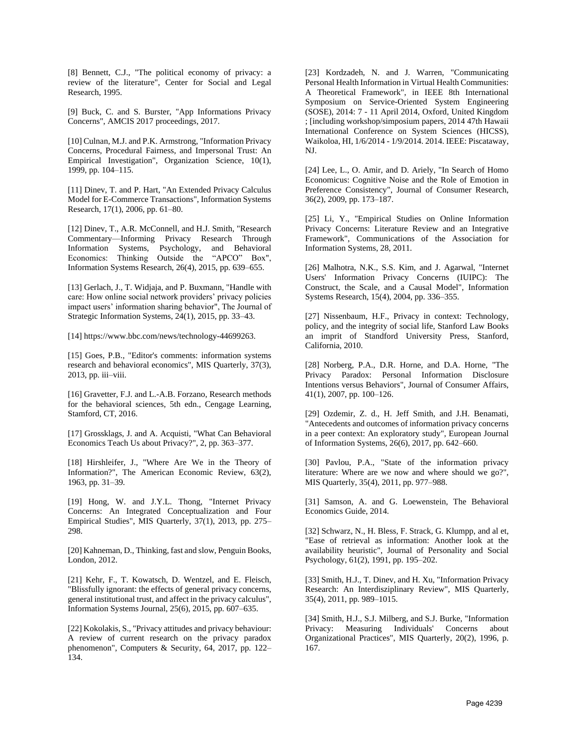[8] Bennett, C.J., "The political economy of privacy: a review of the literature", Center for Social and Legal Research, 1995.

[9] Buck, C. and S. Burster, "App Informations Privacy Concerns", AMCIS 2017 proceedings, 2017.

[10] Culnan, M.J. and P.K. Armstrong, "Information Privacy Concerns, Procedural Fairness, and Impersonal Trust: An Empirical Investigation", Organization Science, 10(1), 1999, pp. 104–115.

[11] Dinev, T. and P. Hart, "An Extended Privacy Calculus Model for E-Commerce Transactions", Information Systems Research, 17(1), 2006, pp. 61–80.

[12] Dinev, T., A.R. McConnell, and H.J. Smith, "Research Commentary—Informing Privacy Research Through Information Systems, Psychology, and Behavioral Economics: Thinking Outside the "APCO" Box", Information Systems Research, 26(4), 2015, pp. 639–655.

[13] Gerlach, J., T. Widjaja, and P. Buxmann, "Handle with care: How online social network providers' privacy policies impact users' information sharing behavior", The Journal of Strategic Information Systems, 24(1), 2015, pp. 33–43.

[14] https://www.bbc.com/news/technology-44699263.

[15] Goes, P.B., "Editor's comments: information systems research and behavioral economics", MIS Quarterly, 37(3), 2013, pp. iii–viii.

[16] Gravetter, F.J. and L.-A.B. Forzano, Research methods for the behavioral sciences, 5th edn., Cengage Learning, Stamford, CT, 2016.

[17] Grossklags, J. and A. Acquisti, "What Can Behavioral Economics Teach Us about Privacy?", 2, pp. 363–377.

[18] Hirshleifer, J., "Where Are We in the Theory of Information?", The American Economic Review, 63(2), 1963, pp. 31–39.

[19] Hong, W. and J.Y.L. Thong, "Internet Privacy Concerns: An Integrated Conceptualization and Four Empirical Studies", MIS Quarterly, 37(1), 2013, pp. 275– 298.

[20] Kahneman, D., Thinking, fast and slow, Penguin Books, London, 2012.

[21] Kehr, F., T. Kowatsch, D. Wentzel, and E. Fleisch, "Blissfully ignorant: the effects of general privacy concerns, general institutional trust, and affect in the privacy calculus", Information Systems Journal, 25(6), 2015, pp. 607–635.

[22] Kokolakis, S., "Privacy attitudes and privacy behaviour: A review of current research on the privacy paradox phenomenon", Computers & Security, 64, 2017, pp. 122– 134.

[23] Kordzadeh, N. and J. Warren, "Communicating Personal Health Information in Virtual Health Communities: A Theoretical Framework", in IEEE 8th International Symposium on Service-Oriented System Engineering (SOSE), 2014: 7 - 11 April 2014, Oxford, United Kingdom ; [including workshop/simposium papers, 2014 47th Hawaii International Conference on System Sciences (HICSS), Waikoloa, HI, 1/6/2014 - 1/9/2014. 2014. IEEE: Piscataway, NJ.

[24] Lee, L., O. Amir, and D. Ariely, "In Search of Homo Economicus: Cognitive Noise and the Role of Emotion in Preference Consistency", Journal of Consumer Research, 36(2), 2009, pp. 173–187.

[25] Li, Y., "Empirical Studies on Online Information Privacy Concerns: Literature Review and an Integrative Framework", Communications of the Association for Information Systems, 28, 2011.

[26] Malhotra, N.K., S.S. Kim, and J. Agarwal, "Internet Users' Information Privacy Concerns (IUIPC): The Construct, the Scale, and a Causal Model", Information Systems Research, 15(4), 2004, pp. 336–355.

[27] Nissenbaum, H.F., Privacy in context: Technology, policy, and the integrity of social life, Stanford Law Books an imprit of Standford University Press, Stanford, California, 2010.

[28] Norberg, P.A., D.R. Horne, and D.A. Horne, "The Privacy Paradox: Personal Information Disclosure Intentions versus Behaviors", Journal of Consumer Affairs, 41(1), 2007, pp. 100–126.

[29] Ozdemir, Z. d., H. Jeff Smith, and J.H. Benamati, "Antecedents and outcomes of information privacy concerns in a peer context: An exploratory study", European Journal of Information Systems, 26(6), 2017, pp. 642–660.

[30] Pavlou, P.A., "State of the information privacy literature: Where are we now and where should we go?", MIS Quarterly, 35(4), 2011, pp. 977–988.

[31] Samson, A. and G. Loewenstein, The Behavioral Economics Guide, 2014.

[32] Schwarz, N., H. Bless, F. Strack, G. Klumpp, and al et, "Ease of retrieval as information: Another look at the availability heuristic", Journal of Personality and Social Psychology, 61(2), 1991, pp. 195–202.

[33] Smith, H.J., T. Dinev, and H. Xu, "Information Privacy Research: An Interdisziplinary Review", MIS Quarterly, 35(4), 2011, pp. 989–1015.

[34] Smith, H.J., S.J. Milberg, and S.J. Burke, "Information Privacy: Measuring Individuals' Concerns about Organizational Practices", MIS Quarterly, 20(2), 1996, p. 167.